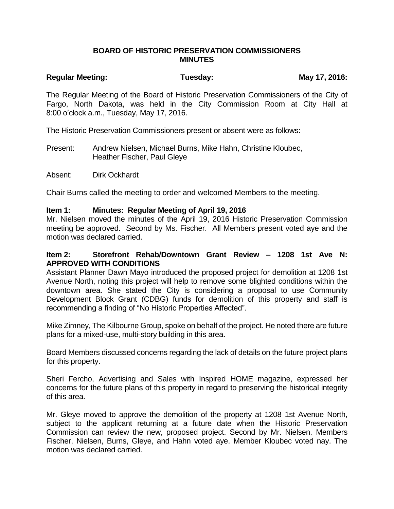# **BOARD OF HISTORIC PRESERVATION COMMISSIONERS MINUTES**

# Regular Meeting: Tuesday: Tuesday: May 17, 2016:

The Regular Meeting of the Board of Historic Preservation Commissioners of the City of Fargo, North Dakota, was held in the City Commission Room at City Hall at 8:00 o'clock a.m., Tuesday, May 17, 2016.

The Historic Preservation Commissioners present or absent were as follows:

Present: Andrew Nielsen, Michael Burns, Mike Hahn, Christine Kloubec, Heather Fischer, Paul Gleye

Absent: Dirk Ockhardt

Chair Burns called the meeting to order and welcomed Members to the meeting.

### **Item 1: Minutes: Regular Meeting of April 19, 2016**

Mr. Nielsen moved the minutes of the April 19, 2016 Historic Preservation Commission meeting be approved. Second by Ms. Fischer. All Members present voted aye and the motion was declared carried.

# **Item 2: Storefront Rehab/Downtown Grant Review – 1208 1st Ave N: APPROVED WITH CONDITIONS**

Assistant Planner Dawn Mayo introduced the proposed project for demolition at 1208 1st Avenue North, noting this project will help to remove some blighted conditions within the downtown area. She stated the City is considering a proposal to use Community Development Block Grant (CDBG) funds for demolition of this property and staff is recommending a finding of "No Historic Properties Affected".

Mike Zimney, The Kilbourne Group, spoke on behalf of the project. He noted there are future plans for a mixed-use, multi-story building in this area.

Board Members discussed concerns regarding the lack of details on the future project plans for this property.

Sheri Fercho, Advertising and Sales with Inspired HOME magazine, expressed her concerns for the future plans of this property in regard to preserving the historical integrity of this area.

Mr. Gleye moved to approve the demolition of the property at 1208 1st Avenue North, subject to the applicant returning at a future date when the Historic Preservation Commission can review the new, proposed project. Second by Mr. Nielsen. Members Fischer, Nielsen, Burns, Gleye, and Hahn voted aye. Member Kloubec voted nay. The motion was declared carried.